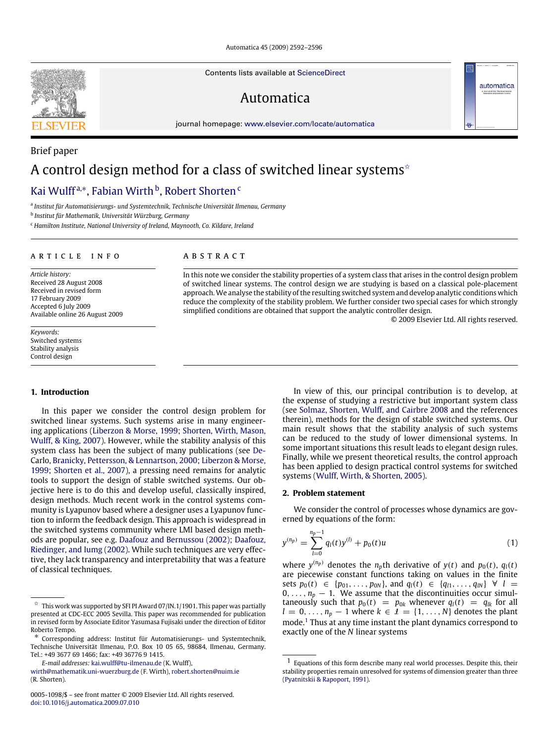Automatica 45 (2009) 2592–2596

Contents lists available at [ScienceDirect](http://www.elsevier.com/locate/automatica)

# Automatica

journal homepage: [www.elsevier.com/locate/automatica](http://www.elsevier.com/locate/automatica)

# Brief paper A control design method for a class of switched linear systems<sup> $\hat{ }$ </sup>

# Kai Wulff<sup>a,</sup>\*, Fabian Wirth <sup>b</sup>, Robert Shorten <sup>c</sup>

a *Institut für Automatisierungs- und Systemtechnik, Technische Universität Ilmenau, Germany*

b *Institut für Mathematik, Universität Würzburg, Germany*

<sup>c</sup> *Hamilton Institute, National University of Ireland, Maynooth, Co. Kildare, Ireland*

#### A R T I C L E I N F O

*Article history:* Received 28 August 2008 Received in revised form 17 February 2009 Accepted 6 July 2009 Available online 26 August 2009

*Keywords:* Switched systems Stability analysis Control design

## **1. Introduction**

In this paper we consider the control design problem for switched linear systems. Such systems arise in many engineering applications (Liberzon & Morse, 1999; Shorten, Wirth, Mason, Wulff, & King, 2007). However, while the stability analysis of this system class has been the subject of many publications (see De-Carlo, Branicky, Pettersson, & Lennartson, 2000; Liberzon & Morse, 1999; Shorten et al., 2007), a pressing need remains for analytic tools to support the design of stable switched systems. Our objective here is to do this and develop useful, classically inspired, design methods. Much recent work in the control systems community is Lyapunov based where a designer uses a Lyapunov function to inform the feedback design. This approach is widespread in the switched systems community where LMI based design methods are popular, see e.g. Daafouz and Bernussou (2002); Daafouz, Riedinger, and Iumg (2002). While such techniques are very effective, they lack transparency and interpretability that was a feature of classical techniques.

### A B S T R A C T

In this note we consider the stability properties of a system class that arises in the control design problem of switched linear systems. The control design we are studying is based on a classical pole-placement approach.We analyse the stability of the resulting switched system and develop analytic conditions which reduce the complexity of the stability problem. We further consider two special cases for which strongly simplified conditions are obtained that support the analytic controller design.

© 2009 Elsevier Ltd. All rights reserved.

automatica

In view of this, our principal contribution is to develop, at the expense of studying a restrictive but important system class (see Solmaz, Shorten, Wulff, and Cairbre 2008 and the references therein), methods for the design of stable switched systems. Our main result shows that the stability analysis of such systems can be reduced to the study of lower dimensional systems. In some important situations this result leads to elegant design rules. Finally, while we present theoretical results, the control approach has been applied to design practical control systems for switched systems (Wulff, Wirth, & Shorten, 2005).

#### **2. Problem statement**

We consider the control of processes whose dynamics are governed by equations of the form:

$$
y^{(n_p)} = \sum_{l=0}^{n_p-1} q_l(t) y^{(l)} + p_0(t) u \tag{1}
$$

where  $y^{(n_p)}$  denotes the  $n_p$ th derivative of  $y(t)$  and  $p_0(t)$ ,  $q_l(t)$ are piecewise constant functions taking on values in the finite sets  $p_0(t) \in \{p_{01}, \ldots, p_{0N}\}$ , and  $q_l(t) \in \{q_{l1}, \ldots, q_{lN}\} \forall l =$  $0, \ldots, n_p - 1$ . We assume that the discontinuities occur simultaneously such that  $p_0(t) = p_{0k}$  whenever  $q_l(t) = q_{lk}$  for all  $l = 0, \ldots, n_p - 1$  where  $k \in I = \{1, \ldots, N\}$  denotes the plant mode.<sup>1</sup> Thus at any time instant the plant dynamics correspond to exactly one of the *N* linear systems



 $\overrightarrow{x}$  This work was supported by SFI PI Award 07/IN.1/1901. This paper was partially presented at CDC-ECC 2005 Sevilla. This paper was recommended for publication in revised form by Associate Editor Yasumasa Fujisaki under the direction of Editor Roberto Tempo.

<sup>∗</sup> Corresponding address: Institut für Automatisierungs- und Systemtechnik, Technische Universität Ilmenau, P.O. Box 10 05 65, 98684, Ilmenau, Germany. Tel.: +49 3677 69 1466; fax: +49 36776 9 1415.

*E-mail addresses:* [kai.wulff@tu-ilmenau.de](mailto:kai.wulff@tu-ilmenau.de) (K. Wulff),

[wirth@mathematik.uni-wuerzburg.de](mailto:wirth@mathematik.uni-wuerzburg.de) (F. Wirth), [robert.shorten@nuim.ie](mailto:robert.shorten@nuim.ie) (R. Shorten).

<sup>0005-1098/\$ –</sup> see front matter © 2009 Elsevier Ltd. All rights reserved. [doi:10.1016/j.automatica.2009.07.010](http://dx.doi.org/10.1016/j.automatica.2009.07.010)

 $1$  Equations of this form describe many real world processes. Despite this, their stability properties remain unresolved for systems of dimension greater than three (Pyatnitskii & Rapoport, 1991).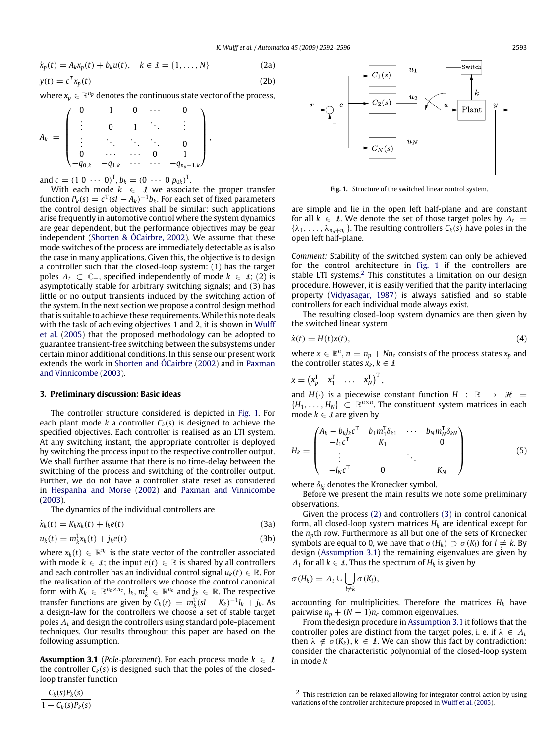$$
\dot{x}_p(t) = A_k x_p(t) + b_k u(t), \quad k \in \mathcal{I} = \{1, ..., N\}
$$
\n(2a)  
\n
$$
y(t) = c^T x_p(t)
$$
\n(2b)

where  $x_p \in \mathbb{R}^{n_p}$  denotes the continuous state vector of the process,

,

$$
A_k = \begin{pmatrix} 0 & 1 & 0 & \cdots & 0 \\ \vdots & 0 & 1 & \ddots & \vdots \\ \vdots & \ddots & \ddots & \ddots & 0 \\ 0 & \cdots & \cdots & 0 & 1 \\ -q_{0,k} & -q_{1,k} & \cdots & \cdots & -q_{np-1,k} \end{pmatrix}
$$

and  $c = (1 \ 0 \ \cdots \ 0)^T$ ,  $b_k = (0 \ \cdots \ 0 \ p_{0k})^T$ .

With each mode  $k \in \mathcal{I}$  we associate the proper transfer function  $P_k(s) = c^T(sI - A_k)^{-1}b_k$ . For each set of fixed parameters the control design objectives shall be similar; such applications arise frequently in automotive control where the system dynamics are gear dependent, but the performance objectives may be gear independent (Shorten & ÓCairbre, 2002). We assume that these mode switches of the process are immediately detectable as is also the case in many applications. Given this, the objective is to design a controller such that the closed-loop system: (1) has the target poles  $\Lambda$ <sub>t</sub> ⊂ ℂ<sub>−</sub>, specified independently of mode  $k$  ∈  $\Lambda$ ; (2) is asymptotically stable for arbitrary switching signals; and (3) has little or no output transients induced by the switching action of the system. In the next section we propose a control design method that is suitable to achieve these requirements.While this note deals with the task of achieving objectives 1 and 2, it is shown in Wulff et al. (2005) that the proposed methodology can be adopted to guarantee transient-free switching between the subsystems under certain minor additional conditions. In this sense our present work extends the work in Shorten and ÓCairbre (2002) and in Paxman and Vinnicombe (2003).

#### **3. Preliminary discussion: Basic ideas**

The controller structure considered is depicted in Fig. 1. For each plant mode *k* a controller  $C_k(s)$  is designed to achieve the specified objectives. Each controller is realised as an LTI system. At any switching instant, the appropriate controller is deployed by switching the process input to the respective controller output. We shall further assume that there is no time-delay between the switching of the process and switching of the controller output. Further, we do not have a controller state reset as considered in Hespanha and Morse (2002) and Paxman and Vinnicombe (2003).

The dynamics of the individual controllers are

$$
\dot{x}_k(t) = K_k x_k(t) + l_k e(t)
$$
\n(3a)

$$
u_k(t) = m_k^{\mathrm{T}} x_k(t) + j_k e(t)
$$
 (3b)

where  $x_k(t) \in \mathbb{R}^{n_c}$  is the state vector of the controller associated with mode  $k \in \mathcal{I}$ ; the input  $e(t) \in \mathbb{R}$  is shared by all controllers and each controller has an individual control signal  $u_k(t) \in \mathbb{R}$ . For the realisation of the controllers we choose the control canonical form with  $K_k \in \mathbb{R}^{n_c \times n_c}$ ,  $l_k, m_k^T \in \mathbb{R}^{n_c}$  and  $j_k \in \mathbb{R}$ . The respective transfer functions are given by  $C_k(s) = m_k^T(sI - K_k)^{-1}l_k + j_k$ . As a design-law for the controllers we choose a set of stable target poles  $\Lambda_t$  and design the controllers using standard pole-placement techniques. Our results throughout this paper are based on the following assumption.

**Assumption 3.1** (*Pole-placement*). For each process mode  $k \in \mathcal{I}$ the controller  $C_k(s)$  is designed such that the poles of the closedloop transfer function

## $C_k(s)P_k(s)$

 $1 + C_k(s)P_k(s)$ 



**Fig. 1.** Structure of the switched linear control system.

are simple and lie in the open left half-plane and are constant for all  $k \in I$ . We denote the set of those target poles by  $\Lambda_t =$  ${\lambda_1, \ldots, \lambda_{n_p+n_c}}$ . The resulting controllers  $C_k(s)$  have poles in the open left half-plane.

*Comment:* Stability of the switched system can only be achieved for the control architecture in Fig. 1 if the controllers are stable LTI systems. $2$  This constitutes a limitation on our design procedure. However, it is easily verified that the parity interlacing property (Vidyasagar, 1987) is always satisfied and so stable controllers for each individual mode always exist.

The resulting closed-loop system dynamics are then given by the switched linear system

$$
\dot{x}(t) = H(t)x(t),\tag{4}
$$

where  $x \in \mathbb{R}^n$ ,  $n = n_p + Nn_c$  consists of the process states  $x_p$  and the controller states  $x_k, k \in \mathcal{I}$ 

$$
x = \begin{pmatrix} x_p^T & x_1^T & \dots & x_N^T \end{pmatrix}^T,
$$

and  $H(\cdot)$  is a piecewise constant function  $H : \mathbb{R} \rightarrow \mathcal{H} =$  ${H_1, \ldots, H_N} \subset \mathbb{R}^{n \times n}$ . The constituent system matrices in each mode  $k \in \mathcal{I}$  are given by

$$
H_{k} = \begin{pmatrix} A_{k} - b_{k}j_{k}c^{T} & b_{1}m_{1}^{T}\delta_{k1} & \cdots & b_{N}m_{N}^{T}\delta_{kN} \\ -l_{1}c^{T} & K_{1} & 0 \\ \vdots & \ddots & \ddots & \vdots \\ -l_{N}c^{T} & 0 & K_{N} \end{pmatrix}
$$
(5)

where  $\delta_{ki}$  denotes the Kronecker symbol.

Before we present the main results we note some preliminary observations.

Given the process (2) and controllers (3) in control canonical form, all closed-loop system matrices  $H_k$  are identical except for the  $n_p$ th row. Furthermore as all but one of the sets of Kronecker symbols are equal to 0, we have that  $\sigma(H_k) \supset \sigma(K_l)$  for  $l \neq k$ . By design (Assumption 3.1) the remaining eigenvalues are given by  $\Lambda_t$  for all  $k \in \mathcal{I}$ . Thus the spectrum of  $H_k$  is given by

$$
\sigma(H_k)=\Lambda_t\cup\bigcup_{l\neq k}\sigma(K_l),
$$

accounting for multiplicities. Therefore the matrices *H<sup>k</sup>* have pairwise  $n_p + (N-1)n_c$  common eigenvalues.

From the design procedure in Assumption 3.1 it follows that the controller poles are distinct from the target poles, i. e. if  $\lambda \in \Lambda_t$ then  $\lambda \notin \sigma(K_k)$ ,  $k \in \mathcal{I}$ . We can show this fact by contradiction: consider the characteristic polynomial of the closed-loop system in mode *k*

<sup>2</sup> This restriction can be relaxed allowing for integrator control action by using variations of the controller architecture proposed in Wulff et al. (2005).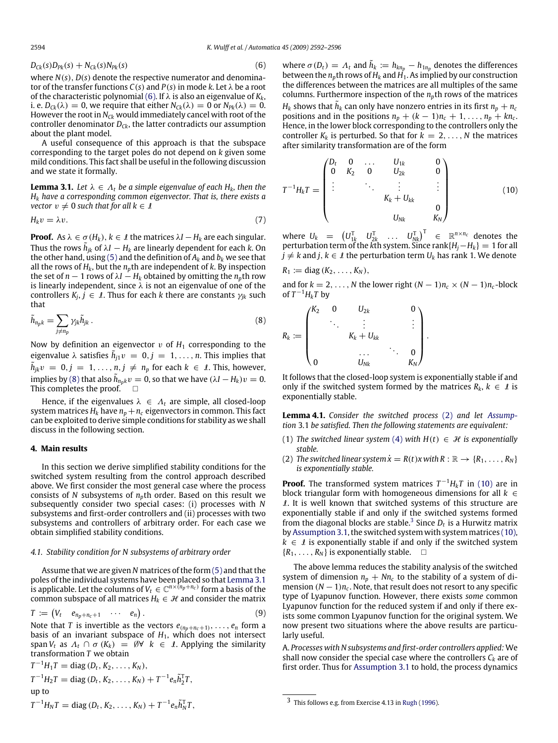$$
D_{Ck}(s)D_{Pk}(s) + N_{Ck}(s)N_{Pk}(s)
$$
\n(6)

where *N*(*s*), *D*(*s*) denote the respective numerator and denominator of the transfer functions  $C(s)$  and  $P(s)$  in mode *k*. Let  $\lambda$  be a root of the characteristic polynomial (6). If λ is also an eigenvalue of *Kk*, i. e.  $D_{Ck}(\lambda) = 0$ , we require that either  $N_{Ck}(\lambda) = 0$  or  $N_{Pk}(\lambda) = 0$ . However the root in  $N_{Ck}$  would immediately cancel with root of the controller denominator *DCk*, the latter contradicts our assumption about the plant model.

A useful consequence of this approach is that the subspace corresponding to the target poles do not depend on *k* given some mild conditions. This fact shall be useful in the following discussion and we state it formally.

**Lemma 3.1.** Let  $\lambda \in \Lambda_t$  be a simple eigenvalue of each  $H_k$ , then the *H<sup>k</sup> have a corresponding common eigenvector. That is, there exists a vector*  $v \neq 0$  *such that for all*  $k \in \mathcal{I}$ 

$$
H_k v = \lambda v. \tag{7}
$$

**Proof.** As  $\lambda \in \sigma(H_k)$ ,  $k \in \mathcal{I}$  the matrices  $\lambda I - H_k$  are each singular. Thus the rows  $\tilde{h}_{jk}$  of  $\lambda I - H_k$  are linearly dependent for each  $k$ . On the other hand, using (5) and the definition of  $A_k$  and  $b_k$  we see that all the rows of  $H_k$ , but the  $n_p$ th are independent of *k*. By inspection the set of *n* − 1 rows of  $\lambda I - H_k$  obtained by omitting the  $n_p$ th row is linearly independent, since  $\lambda$  is not an eigenvalue of one of the  $\text{controllers } K_j, \overline{j} \in \overline{I}$ . Thus for each  $k$  there are constants  $\gamma_{jk}$  such that

$$
\tilde{h}_{n_p k} = \sum_{j \neq n_p} \gamma_{jk} \tilde{h}_{jk} \,. \tag{8}
$$

Now by definition an eigenvector  $v$  of  $H_1$  corresponding to the eigenvalue  $\lambda$  satisfies  $\tilde{h}_{j1}v = 0, j = 1, \ldots, n$ . This implies that  $\tilde{h}_{jk}v = 0, j = 1, \ldots, n, j \neq n_p$  for each  $k \in \mathcal{I}$ . This, however, implies by (8) that also  $\tilde{h}_{n_pk}v = 0$ , so that we have  $(\lambda I - H_k)v = 0$ . This completes the proof.  $\square$ 

Hence, if the eigenvalues  $\lambda \in \Lambda_t$  are simple, all closed-loop system matrices  $H_k$  have  $n_p + n_c$  eigenvectors in common. This fact can be exploited to derive simple conditions for stability as we shall discuss in the following section.

#### **4. Main results**

In this section we derive simplified stability conditions for the switched system resulting from the control approach described above. We first consider the most general case where the process consists of *N* subsystems of  $n<sub>p</sub>$ th order. Based on this result we subsequently consider two special cases: (i) processes with *N* subsystems and first-order controllers and (ii) processes with two subsystems and controllers of arbitrary order. For each case we obtain simplified stability conditions.

#### *4.1. Stability condition for N subsystems of arbitrary order*

Assume that we are given *N* matrices of the form (5) and that the poles of the individual systems have been placed so that Lemma 3.1 is applicable. Let the columns of *V<sup>t</sup>* ∈ C *n*×(*np*+*n<sup>c</sup>* ) form a basis of the common subspace of all matrices  $H_k \in \mathcal{H}$  and consider the matrix

$$
T := \begin{pmatrix} V_t & e_{n_p+n_c+1} & \cdots & e_n \end{pmatrix} . \tag{9}
$$

Note that *T* is invertible as the vectors  $e_{(n_p+n_c+1)}, \ldots, e_n$  form a basis of an invariant subspace of  $H_1$ , which does not intersect span  $V_t$  as  $\Lambda_t \cap \sigma(K_k) = \emptyset \forall k \in \mathcal{I}$ . Applying the similarity transformation *T* we obtain

$$
T^{-1}H_1T = \text{diag}(D_t, K_2, \dots, K_N),
$$
  
\n
$$
T^{-1}H_2T = \text{diag}(D_t, K_2, \dots, K_N) + T^{-1}e_n\tilde{h}_2^T T,
$$
  
\nup to  
\n
$$
T^{-1}H_NT = \text{diag}(D_t, K_2, \dots, K_N) + T^{-1}e_n\tilde{h}_N^T T,
$$

where  $\sigma(D_t) = \Lambda_t$  and  $\tilde{h}_k := h_{kn_p} - h_{1n_p}$  denotes the differences between the *np*th rows of *H<sup>k</sup>* and *H*1. As implied by our construction the differences between the matrices are all multiples of the same columns. Furthermore inspection of the *np*th rows of the matrices  $H_k$  shows that  $\tilde{h}_k$  can only have nonzero entries in its first  $n_p + n_c$ positions and in the positions  $n_p + (k-1)n_c + 1, \ldots, n_p + kn_c$ . Hence, in the lower block corresponding to the controllers only the controller  $K_k$  is perturbed. So that for  $k = 2, \ldots, N$  the matrices after similarity transformation are of the form

$$
T^{-1}H_kT = \begin{pmatrix} D_t & 0 & \dots & U_{1k} & 0 \\ 0 & K_2 & 0 & U_{2k} & 0 \\ \vdots & & \ddots & \vdots & \vdots \\ & & & K_k + U_{kk} & 0 \\ & & & & U_{Nk} & K_N \end{pmatrix}
$$
(10)

where  $U_k$  =  $(U_{1k}^T \quad U_{2k}^T \quad \dots \quad U_{Nk}^T)^T$   $\in \mathbb{R}^{n \times n_c}$  denotes the perturbation term of the *k*th system. Since rank{*Hj*−*Hk*} = 1 for all *j*  $\neq$  *k* and *j*, *k* ∈ *I* the perturbation term *U*<sub>*k*</sub> has rank 1. We denote

$$
R_1 := \text{diag}(K_2, \ldots, K_N),
$$

and for  $k = 2, \ldots, N$  the lower right  $(N - 1)n_c \times (N - 1)n_c$ -block of  $T^{-1}H_kT$  by

$$
R_k := \begin{pmatrix} K_2 & 0 & U_{2k} & & 0 \\ & \ddots & \vdots & & \vdots \\ & & K_k + U_{kk} & & \\ & & & \dots & \ddots & 0 \\ 0 & & & U_{Nk} & & K_N \end{pmatrix}.
$$

It follows that the closed-loop system is exponentially stable if and only if the switched system formed by the matrices  $R_k$ ,  $k \in \mathcal{I}$  is exponentially stable.

**Lemma 4.1.** *Consider the switched process* (2) *and let Assumption* 3.1 *be satisfied. Then the following statements are equivalent:*

- (1) *The switched linear system* (4) *with*  $H(t) \in \mathcal{H}$  *is exponentially stable.*
- (2) *The switched linear system*  $\dot{x} = R(t)x$  with  $R: \mathbb{R} \to \{R_1, \ldots, R_N\}$ *is exponentially stable.*

**Proof.** The transformed system matrices  $T^{-1}H_kT$  in (10) are in block triangular form with homogeneous dimensions for all  $k \in$  $\ell$ . It is well known that switched systems of this structure are exponentially stable if and only if the switched systems formed from the diagonal blocks are stable.<sup>3</sup> Since  $D_t$  is a Hurwitz matrix by Assumption 3.1, the switched system with system matrices (10),  $k \in \mathcal{I}$  is exponentially stable if and only if the switched system  ${R_1, \ldots, R_N}$  is exponentially stable.  $\square$ 

The above lemma reduces the stability analysis of the switched system of dimension  $n_p + Nn_c$  to the stability of a system of dimension  $(N - 1)n_c$ . Note, that result does not resort to any specific type of Lyapunov function. However, there exists *some* common Lyapunov function for the reduced system if and only if there exists some common Lyapunov function for the original system. We now present two situations where the above results are particularly useful.

A. *Processes with N subsystems and first-order controllers applied:* We shall now consider the special case where the controllers  $C_k$  are of first order. Thus for Assumption 3.1 to hold, the process dynamics

<sup>3</sup> This follows e.g. from Exercise 4.13 in Rugh (1996).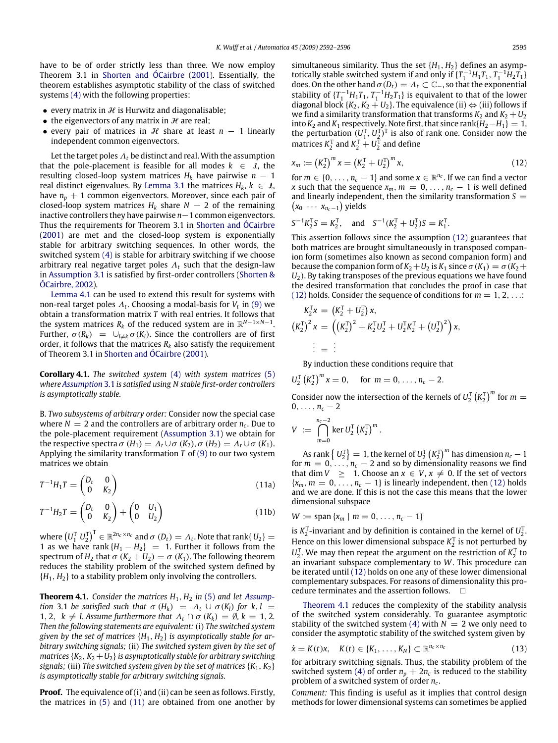have to be of order strictly less than three. We now employ Theorem 3.1 in Shorten and ÓCairbre (2001). Essentially, the theorem establishes asymptotic stability of the class of switched systems (4) with the following properties:

- every matrix in  $H$  is Hurwitz and diagonalisable;
- the eigenvectors of any matrix in  $H$  are real;
- every pair of matrices in  $H$  share at least  $n 1$  linearly independent common eigenvectors.

Let the target poles  $\Lambda_t$  be distinct and real. With the assumption that the pole-placement is feasible for all modes  $k \in \mathcal{I}$ , the resulting closed-loop system matrices  $H_k$  have pairwise  $n - 1$ real distinct eigenvalues. By Lemma 3.1 the matrices  $H_k$ ,  $k \in \mathcal{I}$ , have  $n_p + 1$  common eigenvectors. Moreover, since each pair of closed-loop system matrices  $H_k$  share  $N-2$  of the remaining inactive controllers they have pairwise *n*−1 common eigenvectors. Thus the requirements for Theorem 3.1 in Shorten and ÓCairbre (2001) are met and the closed-loop system is exponentially stable for arbitrary switching sequences. In other words, the switched system (4) is stable for arbitrary switching if we choose arbitrary real negative target poles  $\Lambda_t$  such that the design-law in Assumption 3.1 is satisfied by first-order controllers (Shorten & ÓCairbre, 2002).

Lemma 4.1 can be used to extend this result for systems with non-real target poles Λ*<sup>t</sup>* . Choosing a modal-basis for *V<sup>t</sup>* in (9) we obtain a transformation matrix *T* with real entries. It follows that the system matrices  $R_k$  of the reduced system are in  $\mathbb{R}^{N-1\times N-1}.$ Further,  $\sigma(R_k) = \bigcup_{l \neq k} \sigma(K_l)$ . Since the controllers are of first order, it follows that the matrices  $R_k$  also satisfy the requirement of Theorem 3.1 in Shorten and ÓCairbre (2001).

**Corollary 4.1.** *The switched system* (4) *with system matrices* (5) *where Assumption* 3.1 *is satisfied using N stable first-order controllers is asymptotically stable.*

B. *Two subsystems of arbitrary order:* Consider now the special case where  $N = 2$  and the controllers are of arbitrary order  $n_c$ . Due to the pole-placement requirement (Assumption 3.1) we obtain for the respective spectra  $\sigma(H_1) = \Lambda_t \cup \sigma(K_2), \sigma(H_2) = \Lambda_t \cup \sigma(K_1).$ Applying the similarity transformation *T* of (9) to our two system matrices we obtain

$$
T^{-1}H_1T = \begin{pmatrix} D_t & 0 \\ 0 & K_2 \end{pmatrix} \tag{11a}
$$

$$
T^{-1}H_2T = \begin{pmatrix} D_t & 0 \\ 0 & K_2 \end{pmatrix} + \begin{pmatrix} 0 & U_1 \\ 0 & U_2 \end{pmatrix}
$$
 (11b)

where  $\left(U_1^{\text{T}} \ U_2^{\text{T}}\right)^{\text{T}} \in \mathbb{R}^{2n_c \times n_c}$  and  $\sigma \ (D_t) = \varLambda_t$ . Note that rank{  $U_2$ }  $=$ 1 as we have rank  $\{H_1 - H_2\}$  = 1. Further it follows from the spectrum of  $H_2$  that  $\sigma$  ( $K_2 + U_2$ ) =  $\sigma$  ( $K_1$ ). The following theorem reduces the stability problem of the switched system defined by  ${H_1, H_2}$  to a stability problem only involving the controllers.

**Theorem 4.1.** *Consider the matrices*  $H_1$ ,  $H_2$  *in* (5) *and let Assumption* 3.1 *be satisfied such that*  $\sigma$  ( $H_k$ ) =  $\Lambda_t \cup \sigma$  ( $K_l$ ) for  $k, l$  = 1, 2,  $k \neq l$ . Assume furthermore that  $\Lambda_t \cap \sigma(K_k) = \emptyset$ ,  $k = 1, 2$ . *Then the following statements are equivalent:*(i) *The switched system given by the set of matrices* {*H*1, *H*2} *is asymptotically stable for arbitrary switching signals;* (ii) *The switched system given by the set of matrices*  ${K_2, K_2 + U_2}$ *is asymptotically stable for arbitrary switching signals;* (iii) *The switched system given by the set of matrices*  $\{K_1, K_2\}$ *is asymptotically stable for arbitrary switching signals.*

**Proof.** The equivalence of (i) and (ii) can be seen as follows. Firstly, the matrices in (5) and (11) are obtained from one another by simultaneous similarity. Thus the set  $\{H_1, H_2\}$  defines an asymptotically stable switched system if and only if  $\{T_1^{-1}H_1T_1, T_1^{-1}H_2T_1\}$ does. On the other hand  $\sigma(D_t) = \Lambda_t \subset \mathbb{C}_-$ , so that the exponential stability of  $\{T_1^{-1}H_1T_1, T_1^{-1}H_2T_1\}$  is equivalent to that of the lower diagonal block  $\{K_2, K_2 + U_2\}$ . The equivalence (ii)  $\Leftrightarrow$  (iii) follows if we find a similarity transformation that transforms  $K_2$  and  $K_2 + U_2$ into  $K_2$  and  $K_1$  respectively. Note first, that since rank $\{H_2 - H_1\} = 1$ , the perturbation  $(U_1^T, U_2^T)^T$  is also of rank one. Consider now the matrices  $K_2^T$  and  $K_2^T + U_2^T$  and define

$$
x_m := (K_2^{\mathrm{T}})^m x = (K_2^{\mathrm{T}} + U_2^{\mathrm{T}})^m x, \tag{12}
$$

for  $m \in \{0, \ldots, n_c - 1\}$  and some  $x \in \mathbb{R}^{n_c}$ . If we can find a vector *x* such that the sequence  $x_m$ ,  $m = 0, \ldots, n_c - 1$  is well defined and linearly independent, then the similarity transformation S =  $(x_0 \cdots x_{n_c-1})$  yields

$$
S^{-1}K_2^T S = K_2^T
$$
, and  $S^{-1}(K_2^T + U_2^T)S = K_1^T$ .

This assertion follows since the assumption (12) guarantees that both matrices are brought simultaneously in transposed companion form (sometimes also known as second companion form) and because the companion form of  $K_2 + U_2$  is  $K_1$  since  $\sigma(K_1) = \sigma(K_2 +$ *U*2). By taking transposes of the previous equations we have found the desired transformation that concludes the proof in case that (12) holds. Consider the sequence of conditions for  $m = 1, 2, \ldots$ :

$$
K_2^T x = (K_2^T + U_2^T) x,
$$
  
\n
$$
(K_2^T)^2 x = ((K_2^T)^2 + K_2^T U_2^T + U_2^T K_2^T + (U_2^T)^2) x,
$$
  
\n
$$
\vdots = \vdots
$$

By induction these conditions require that

 $U_2^T (K_2^T)^m x = 0$ , for  $m = 0, ..., n_c - 2$ .

Consider now the intersection of the kernels of  $U_2^T (K_2^T)^m$  for  $m =$  $0, \ldots, n_c - 2$ 

$$
V \; := \; \bigcap_{m=0}^{n_c-2} \ker U_2^{\rm T} \left( K_2^{\rm T} \right)^m.
$$

As rank  $\left\{ U_{2}^{\text{T}}\right\} =1$ , the kernel of  $U_{2}^{\text{T}}\left(K_{2}^{\text{T}}\right)^{m}$  has dimension  $n_{c}-1$ for  $m = 0, \ldots, n_c - 2$  and so by dimensionality reasons we find that dim  $V \geq 1$ . Choose an  $x \in V$ ,  $x \neq 0$ . If the set of vectors  ${x<sub>m</sub>, m = 0, \ldots, n<sub>c</sub> - 1}$  is linearly independent, then (12) holds and we are done. If this is not the case this means that the lower dimensional subspace

$$
W := \text{span}\{x_m \mid m = 0, \ldots, n_c - 1\}
$$

is  $K_2^T$ -invariant and by definition is contained in the kernel of  $U_2^T$ . Hence on this lower dimensional subspace  $K_2^T$  is not perturbed by  $U_2^T$ . We may then repeat the argument on the restriction of  $K_2^T$  to an invariant subspace complementary to *W*. This procedure can be iterated until (12) holds on one any of these lower dimensional complementary subspaces. For reasons of dimensionality this procedure terminates and the assertion follows.  $\square$ 

Theorem 4.1 reduces the complexity of the stability analysis of the switched system considerably. To guarantee asymptotic stability of the switched system (4) with  $N = 2$  we only need to consider the asymptotic stability of the switched system given by

$$
\dot{\mathbf{x}} = K(t)\mathbf{x}, \quad K(t) \in \{K_1, \ldots, K_N\} \subset \mathbb{R}^{n_c \times n_c}
$$
\n(13)

for arbitrary switching signals. Thus, the stability problem of the switched system (4) of order  $n_p + 2n_c$  is reduced to the stability problem of a switched system of order *n<sup>c</sup>* .

*Comment:* This finding is useful as it implies that control design methods for lower dimensional systems can sometimes be applied